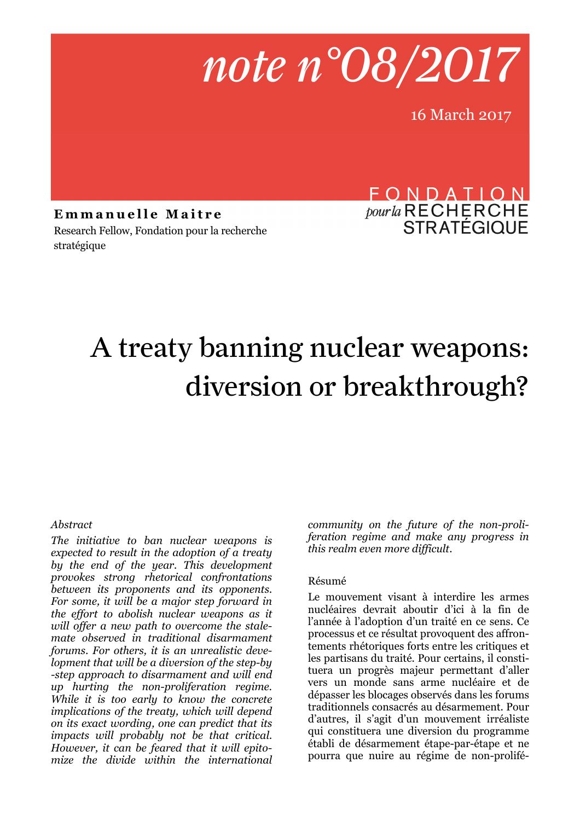

16 March 2017

Emmanuelle Maitre Research Fellow, Fondation pour la recherche stratégique

# FONDATION *pour la* RECHERCHE

# A treaty banning nuclear weapons: diversion or breakthrough?

#### *Abstract*

*The initiative to ban nuclear weapons is expected to result in the adoption of a treaty by the end of the year. This development provokes strong rhetorical confrontations between its proponents and its opponents. For some, it will be a major step forward in the effort to abolish nuclear weapons as it will offer a new path to overcome the stalemate observed in traditional disarmament forums. For others, it is an unrealistic development that will be a diversion of the step-by -step approach to disarmament and will end up hurting the non-proliferation regime. While it is too early to know the concrete implications of the treaty, which will depend on its exact wording, one can predict that its impacts will probably not be that critical. However, it can be feared that it will epitomize the divide within the international* 

*community on the future of the non-proliferation regime and make any progress in this realm even more difficult*.

#### Résumé

Le mouvement visant à interdire les armes nucléaires devrait aboutir d'ici à la fin de l'année à l'adoption d'un traité en ce sens. Ce processus et ce résultat provoquent des affrontements rhétoriques forts entre les critiques et les partisans du traité. Pour certains, il constituera un progrès majeur permettant d'aller vers un monde sans arme nucléaire et de dépasser les blocages observés dans les forums traditionnels consacrés au désarmement. Pour d'autres, il s'agit d'un mouvement irréaliste qui constituera une diversion du programme établi de désarmement étape-par-étape et ne pourra que nuire au régime de non-prolifé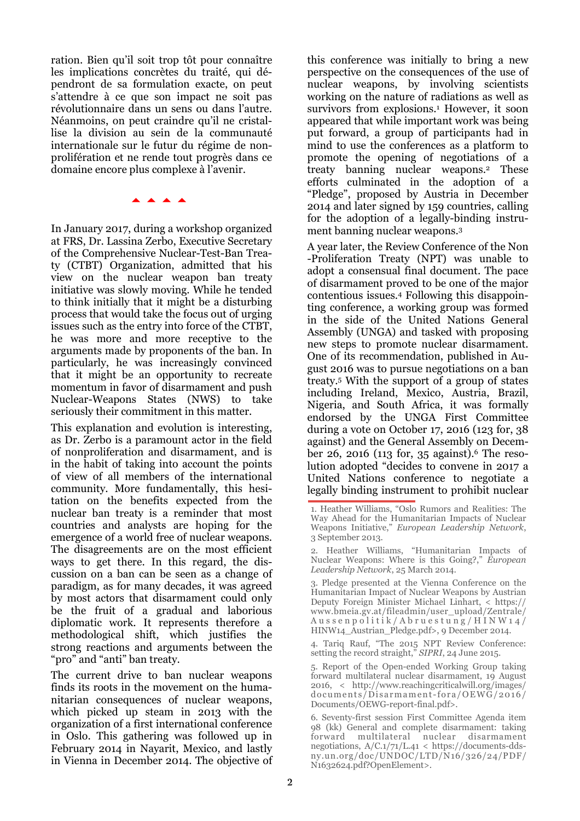ration. Bien qu'il soit trop tôt pour connaître les implications concrètes du traité, qui dépendront de sa formulation exacte, on peut s'attendre à ce que son impact ne soit pas révolutionnaire dans un sens ou dans l'autre. Néanmoins, on peut craindre qu'il ne cristallise la division au sein de la communauté internationale sur le futur du régime de nonprolifération et ne rende tout progrès dans ce domaine encore plus complexe à l'avenir.

**AAAA** 

In January 2017, during a workshop organized at FRS, Dr. Lassina Zerbo, Executive Secretary of the Comprehensive Nuclear-Test-Ban Treaty (CTBT) Organization, admitted that his view on the nuclear weapon ban treaty initiative was slowly moving. While he tended to think initially that it might be a disturbing process that would take the focus out of urging issues such as the entry into force of the CTBT, he was more and more receptive to the arguments made by proponents of the ban. In particularly, he was increasingly convinced that it might be an opportunity to recreate momentum in favor of disarmament and push Nuclear-Weapons States (NWS) to take seriously their commitment in this matter.

This explanation and evolution is interesting, as Dr. Zerbo is a paramount actor in the field of nonproliferation and disarmament, and is in the habit of taking into account the points of view of all members of the international community. More fundamentally, this hesitation on the benefits expected from the nuclear ban treaty is a reminder that most countries and analysts are hoping for the emergence of a world free of nuclear weapons. The disagreements are on the most efficient ways to get there. In this regard, the discussion on a ban can be seen as a change of paradigm, as for many decades, it was agreed by most actors that disarmament could only be the fruit of a gradual and laborious diplomatic work. It represents therefore a methodological shift, which justifies the strong reactions and arguments between the "pro" and "anti" ban treaty.

The current drive to ban nuclear weapons finds its roots in the movement on the humanitarian consequences of nuclear weapons, which picked up steam in 2013 with the organization of a first international conference in Oslo. This gathering was followed up in February 2014 in Nayarit, Mexico, and lastly in Vienna in December 2014. The objective of

this conference was initially to bring a new perspective on the consequences of the use of nuclear weapons, by involving scientists working on the nature of radiations as well as survivors from explosions.<sup>1</sup> However, it soon appeared that while important work was being put forward, a group of participants had in mind to use the conferences as a platform to promote the opening of negotiations of a treaty banning nuclear weapons.2 These efforts culminated in the adoption of a "Pledge", proposed by Austria in December 2014 and later signed by 159 countries, calling for the adoption of a legally-binding instrument banning nuclear weapons.<sup>3</sup>

A year later, the Review Conference of the Non -Proliferation Treaty (NPT) was unable to adopt a consensual final document. The pace of disarmament proved to be one of the major contentious issues.4 Following this disappointing conference, a working group was formed in the side of the United Nations General Assembly (UNGA) and tasked with proposing new steps to promote nuclear disarmament. One of its recommendation, published in August 2016 was to pursue negotiations on a ban treaty.5 With the support of a group of states including Ireland, Mexico, Austria, Brazil, Nigeria, and South Africa, it was formally endorsed by the UNGA First Committee during a vote on October 17, 2016 (123 for, 38 against) and the General Assembly on December 26, 2016 (113 for, 35 against).<sup>6</sup> The resolution adopted "decides to convene in 2017 a United Nations conference to negotiate a legally binding instrument to prohibit nuclear

<sup>1.</sup> Heather Williams, "Oslo Rumors and Realities: The Way Ahead for the Humanitarian Impacts of Nuclear Weapons Initiative," *European Leadership Network*, 3 September 2013.

<sup>2.</sup> Heather Williams, "Humanitarian Impacts of Nuclear Weapons: Where is this Going?," *European Leadership Network*, 25 March 2014.

<sup>3.</sup> Pledge presented at the Vienna Conference on the Humanitarian Impact of Nuclear Weapons by Austrian Deputy Foreign Minister Michael Linhart, < https:// www.bmeia.gv.at/fileadmin/user\_upload/Zentrale/ A u s s e n p o l i t i k / A b r u e s t u n g / H I N W 1 4 / HINW14\_Austrian\_Pledge.pdf>, 9 December 2014.

<sup>4.</sup> Tariq Rauf, "The 2015 NPT Review Conference: setting the record straight," *SIPRI*, 24 June 2015.

<sup>5.</sup> Report of the Open-ended Working Group taking forward multilateral nuclear disarmament, 19 August 2016, < http://www.reachingcriticalwill.org/images/ documents/Disarmament-fora/OEWG/2016/ Documents/OEWG-report-final.pdf>.

<sup>6.</sup> Seventy-first session First Committee Agenda item 98 (kk) General and complete disarmament: taking forward multilateral nuclear disarmament negotiations, A/C.1/71/L.41 < https://documents-ddsny.un.org/doc/UNDOC/LTD/N16/326/24/PDF/ N1632624.pdf?OpenElement>.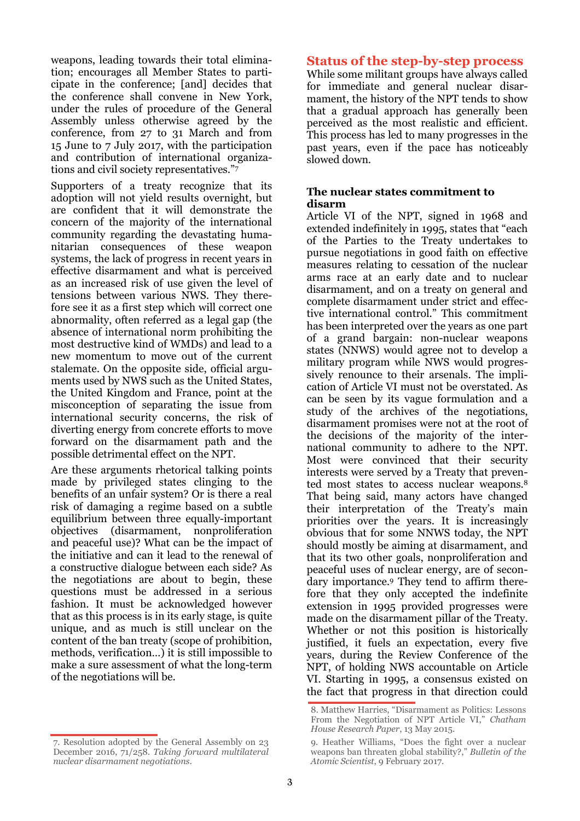weapons, leading towards their total elimination; encourages all Member States to participate in the conference; [and] decides that the conference shall convene in New York, under the rules of procedure of the General Assembly unless otherwise agreed by the conference, from 27 to 31 March and from 15 June to 7 July 2017, with the participation and contribution of international organizations and civil society representatives."<sup>7</sup>

Supporters of a treaty recognize that its adoption will not yield results overnight, but are confident that it will demonstrate the concern of the majority of the international community regarding the devastating humanitarian consequences of these weapon systems, the lack of progress in recent years in effective disarmament and what is perceived as an increased risk of use given the level of tensions between various NWS. They therefore see it as a first step which will correct one abnormality, often referred as a legal gap (the absence of international norm prohibiting the most destructive kind of WMDs) and lead to a new momentum to move out of the current stalemate. On the opposite side, official arguments used by NWS such as the United States, the United Kingdom and France, point at the misconception of separating the issue from international security concerns, the risk of diverting energy from concrete efforts to move forward on the disarmament path and the possible detrimental effect on the NPT.

Are these arguments rhetorical talking points made by privileged states clinging to the benefits of an unfair system? Or is there a real risk of damaging a regime based on a subtle equilibrium between three equally-important objectives (disarmament, nonproliferation and peaceful use)? What can be the impact of the initiative and can it lead to the renewal of a constructive dialogue between each side? As the negotiations are about to begin, these questions must be addressed in a serious fashion. It must be acknowledged however that as this process is in its early stage, is quite unique, and as much is still unclear on the content of the ban treaty (scope of prohibition, methods, verification…) it is still impossible to make a sure assessment of what the long-term of the negotiations will be.

# 7. Resolution adopted by the General Assembly on 23 December 2016, 71/258. *Taking forward multilateral*

*nuclear disarmament negotiations*.

#### **Status of the step-by-step process**

While some militant groups have always called for immediate and general nuclear disarmament, the history of the NPT tends to show that a gradual approach has generally been perceived as the most realistic and efficient. This process has led to many progresses in the past years, even if the pace has noticeably slowed down.

#### **The nuclear states commitment to disarm**

Article VI of the NPT, signed in 1968 and extended indefinitely in 1995, states that "each of the Parties to the Treaty undertakes to pursue negotiations in good faith on effective measures relating to cessation of the nuclear arms race at an early date and to nuclear disarmament, and on a treaty on general and complete disarmament under strict and effective international control." This commitment has been interpreted over the years as one part of a grand bargain: non-nuclear weapons states (NNWS) would agree not to develop a military program while NWS would progressively renounce to their arsenals. The implication of Article VI must not be overstated. As can be seen by its vague formulation and a study of the archives of the negotiations, disarmament promises were not at the root of the decisions of the majority of the international community to adhere to the NPT. Most were convinced that their security interests were served by a Treaty that prevented most states to access nuclear weapons.<sup>8</sup> That being said, many actors have changed their interpretation of the Treaty's main priorities over the years. It is increasingly obvious that for some NNWS today, the NPT should mostly be aiming at disarmament, and that its two other goals, nonproliferation and peaceful uses of nuclear energy, are of secondary importance.9 They tend to affirm therefore that they only accepted the indefinite extension in 1995 provided progresses were made on the disarmament pillar of the Treaty. Whether or not this position is historically justified, it fuels an expectation, every five years, during the Review Conference of the NPT, of holding NWS accountable on Article VI. Starting in 1995, a consensus existed on the fact that progress in that direction could

<sup>8.</sup> Matthew Harries, "Disarmament as Politics: Lessons From the Negotiation of NPT Article VI," *Chatham House Research Paper*, 13 May 2015.

<sup>9.</sup> Heather Williams, "Does the fight over a nuclear weapons ban threaten global stability?," *Bulletin of the Atomic Scientist*, 9 February 2017.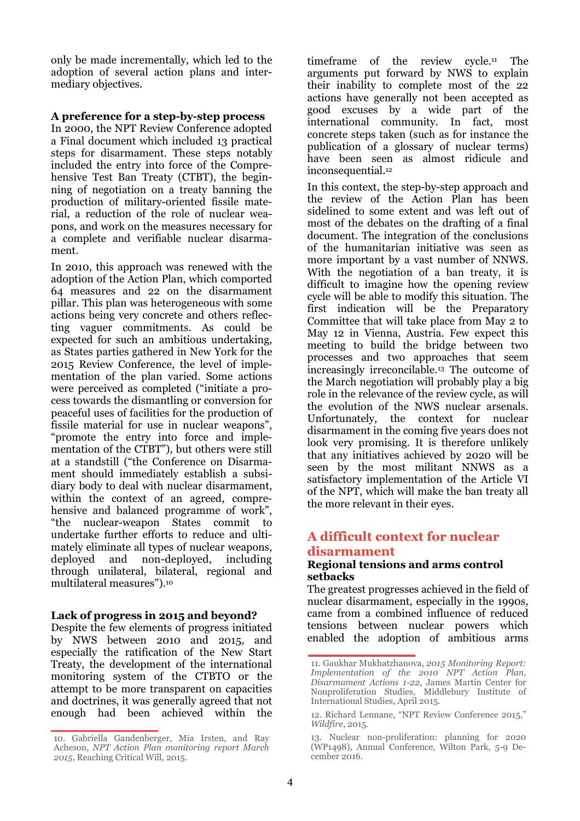only be made incrementally, which led to the adoption of several action plans and intermediary objectives.

#### **A preference for a step-by-step process**

In 2000, the NPT Review Conference adopted a Final document which included 13 practical steps for disarmament. These steps notably included the entry into force of the Comprehensive Test Ban Treaty (CTBT), the beginning of negotiation on a treaty banning the production of military-oriented fissile material, a reduction of the role of nuclear weapons, and work on the measures necessary for a complete and verifiable nuclear disarmament.

In 2010, this approach was renewed with the adoption of the Action Plan, which comported 64 measures and 22 on the disarmament pillar. This plan was heterogeneous with some actions being very concrete and others reflecting vaguer commitments. As could be expected for such an ambitious undertaking, as States parties gathered in New York for the 2015 Review Conference, the level of implementation of the plan varied. Some actions were perceived as completed ("initiate a process towards the dismantling or conversion for peaceful uses of facilities for the production of fissile material for use in nuclear weapons", "promote the entry into force and implementation of the CTBT"), but others were still at a standstill ("the Conference on Disarmament should immediately establish a subsidiary body to deal with nuclear disarmament, within the context of an agreed, comprehensive and balanced programme of work", "the nuclear-weapon States commit to undertake further efforts to reduce and ultimately eliminate all types of nuclear weapons, deployed and non-deployed, including through unilateral, bilateral, regional and multilateral measures").<sup>10</sup>

#### **Lack of progress in 2015 and beyond?**

Despite the few elements of progress initiated by NWS between 2010 and 2015, and especially the ratification of the New Start Treaty, the development of the international monitoring system of the CTBTO or the attempt to be more transparent on capacities and doctrines, it was generally agreed that not enough had been achieved within the timeframe of the review cycle.11 The arguments put forward by NWS to explain their inability to complete most of the 22 actions have generally not been accepted as good excuses by a wide part of the international community. In fact, most concrete steps taken (such as for instance the publication of a glossary of nuclear terms) have been seen as almost ridicule and inconsequential.<sup>12</sup>

In this context, the step-by-step approach and the review of the Action Plan has been sidelined to some extent and was left out of most of the debates on the drafting of a final document. The integration of the conclusions of the humanitarian initiative was seen as more important by a vast number of NNWS. With the negotiation of a ban treaty, it is difficult to imagine how the opening review cycle will be able to modify this situation. The first indication will be the Preparatory Committee that will take place from May 2 to May 12 in Vienna, Austria. Few expect this meeting to build the bridge between two processes and two approaches that seem increasingly irreconcilable.13 The outcome of the March negotiation will probably play a big role in the relevance of the review cycle, as will the evolution of the NWS nuclear arsenals. Unfortunately, the context for nuclear disarmament in the coming five years does not look very promising. It is therefore unlikely that any initiatives achieved by 2020 will be seen by the most militant NNWS as a satisfactory implementation of the Article VI of the NPT, which will make the ban treaty all the more relevant in their eyes.

# **A difficult context for nuclear disarmament**

#### **Regional tensions and arms control setbacks**

The greatest progresses achieved in the field of nuclear disarmament, especially in the 1990s, came from a combined influence of reduced tensions between nuclear powers which enabled the adoption of ambitious arms

<sup>10.</sup> Gabriella Gandenberger, Mia Irsten, and Ray Acheson, *NPT Action Plan monitoring report March 2015*, Reaching Critical Will, 2015.

<sup>11.</sup> Gaukhar Mukhatzhanova, *2015 Monitoring Report: Implementation of the 2010 NPT Action Plan, Disarmament Actions 1-22*, James Martin Center for Nonproliferation Studies, Middlebury Institute of International Studies, April 2015.

<sup>12.</sup> Richard Lennane, "NPT Review Conference 2015," *Wildfire*, 2015.

<sup>13.</sup> Nuclear non-proliferation: planning for 2020 (WP1498), Annual Conference, Wilton Park, 5-9 December 2016.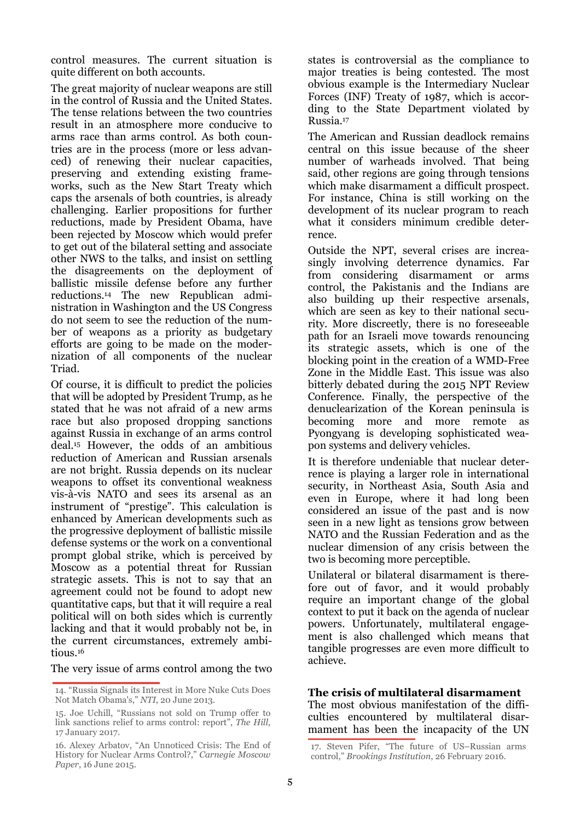control measures. The current situation is quite different on both accounts.

The great majority of nuclear weapons are still in the control of Russia and the United States. The tense relations between the two countries result in an atmosphere more conducive to arms race than arms control. As both countries are in the process (more or less advanced) of renewing their nuclear capacities, preserving and extending existing frameworks, such as the New Start Treaty which caps the arsenals of both countries, is already challenging. Earlier propositions for further reductions, made by President Obama, have been rejected by Moscow which would prefer to get out of the bilateral setting and associate other NWS to the talks, and insist on settling the disagreements on the deployment of ballistic missile defense before any further reductions.14 The new Republican administration in Washington and the US Congress do not seem to see the reduction of the number of weapons as a priority as budgetary efforts are going to be made on the modernization of all components of the nuclear Triad.

Of course, it is difficult to predict the policies that will be adopted by President Trump, as he stated that he was not afraid of a new arms race but also proposed dropping sanctions against Russia in exchange of an arms control deal.15 However, the odds of an ambitious reduction of American and Russian arsenals are not bright. Russia depends on its nuclear weapons to offset its conventional weakness vis-à-vis NATO and sees its arsenal as an instrument of "prestige". This calculation is enhanced by American developments such as the progressive deployment of ballistic missile defense systems or the work on a conventional prompt global strike, which is perceived by Moscow as a potential threat for Russian strategic assets. This is not to say that an agreement could not be found to adopt new quantitative caps, but that it will require a real political will on both sides which is currently lacking and that it would probably not be, in the current circumstances, extremely ambitious.<sup>16</sup>

The very issue of arms control among the two

states is controversial as the compliance to major treaties is being contested. The most obvious example is the Intermediary Nuclear Forces (INF) Treaty of 1987, which is according to the State Department violated by Russia.<sup>17</sup>

The American and Russian deadlock remains central on this issue because of the sheer number of warheads involved. That being said, other regions are going through tensions which make disarmament a difficult prospect. For instance, China is still working on the development of its nuclear program to reach what it considers minimum credible deterrence.

Outside the NPT, several crises are increasingly involving deterrence dynamics. Far from considering disarmament or arms control, the Pakistanis and the Indians are also building up their respective arsenals, which are seen as key to their national security. More discreetly, there is no foreseeable path for an Israeli move towards renouncing its strategic assets, which is one of the blocking point in the creation of a WMD-Free Zone in the Middle East. This issue was also bitterly debated during the 2015 NPT Review Conference. Finally, the perspective of the denuclearization of the Korean peninsula is becoming more and more remote as Pyongyang is developing sophisticated weapon systems and delivery vehicles.

It is therefore undeniable that nuclear deterrence is playing a larger role in international security, in Northeast Asia, South Asia and even in Europe, where it had long been considered an issue of the past and is now seen in a new light as tensions grow between NATO and the Russian Federation and as the nuclear dimension of any crisis between the two is becoming more perceptible.

Unilateral or bilateral disarmament is therefore out of favor, and it would probably require an important change of the global context to put it back on the agenda of nuclear powers. Unfortunately, multilateral engagement is also challenged which means that tangible progresses are even more difficult to achieve.

#### **The crisis of multilateral disarmament**

The most obvious manifestation of the difficulties encountered by multilateral disarmament has been the incapacity of the UN

<sup>14. &</sup>quot;Russia Signals its Interest in More Nuke Cuts Does Not Match Obama's," *NTI*, 20 June 2013.

<sup>15.</sup> Joe Uchill, "Russians not sold on Trump offer to link sanctions relief to arms control: report", *The Hill*, 17 January 2017.

<sup>16.</sup> Alexey Arbatov, "An Unnoticed Crisis: The End of History for Nuclear Arms Control?," *Carnegie Moscow Paper*, 16 June 2015.

<sup>17.</sup> Steven Pifer, "The future of US–Russian arms control," *Brookings Institution*, 26 February 2016.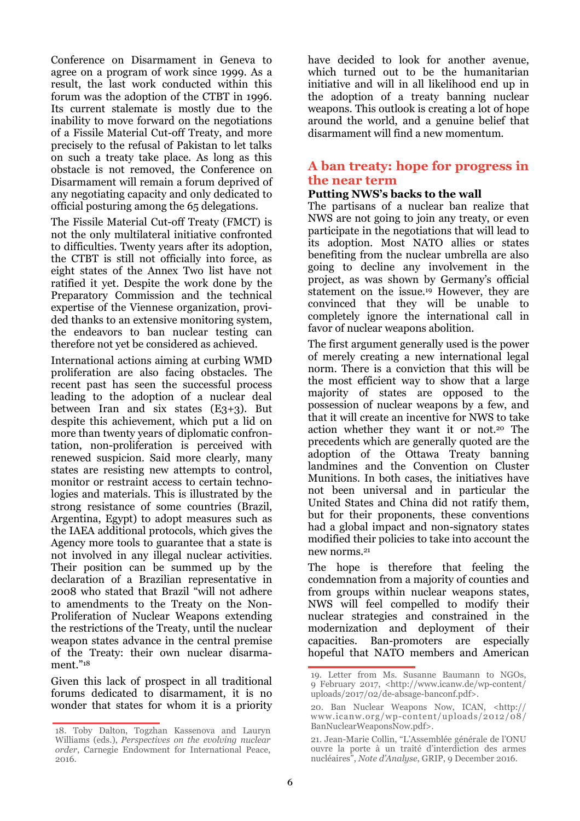Conference on Disarmament in Geneva to agree on a program of work since 1999. As a result, the last work conducted within this forum was the adoption of the CTBT in 1996. Its current stalemate is mostly due to the inability to move forward on the negotiations of a Fissile Material Cut-off Treaty, and more precisely to the refusal of Pakistan to let talks on such a treaty take place. As long as this obstacle is not removed, the Conference on Disarmament will remain a forum deprived of any negotiating capacity and only dedicated to official posturing among the 65 delegations.

The Fissile Material Cut-off Treaty (FMCT) is not the only multilateral initiative confronted to difficulties. Twenty years after its adoption, the CTBT is still not officially into force, as eight states of the Annex Two list have not ratified it yet. Despite the work done by the Preparatory Commission and the technical expertise of the Viennese organization, provided thanks to an extensive monitoring system, the endeavors to ban nuclear testing can therefore not yet be considered as achieved.

International actions aiming at curbing WMD proliferation are also facing obstacles. The recent past has seen the successful process leading to the adoption of a nuclear deal between Iran and six states (E3+3). But despite this achievement, which put a lid on more than twenty years of diplomatic confrontation, non-proliferation is perceived with renewed suspicion. Said more clearly, many states are resisting new attempts to control, monitor or restraint access to certain technologies and materials. This is illustrated by the strong resistance of some countries (Brazil, Argentina, Egypt) to adopt measures such as the IAEA additional protocols, which gives the Agency more tools to guarantee that a state is not involved in any illegal nuclear activities. Their position can be summed up by the declaration of a Brazilian representative in 2008 who stated that Brazil "will not adhere to amendments to the Treaty on the Non-Proliferation of Nuclear Weapons extending the restrictions of the Treaty, until the nuclear weapon states advance in the central premise of the Treaty: their own nuclear disarmament."<sup>18</sup>

Given this lack of prospect in all traditional forums dedicated to disarmament, it is no wonder that states for whom it is a priority have decided to look for another avenue, which turned out to be the humanitarian initiative and will in all likelihood end up in the adoption of a treaty banning nuclear weapons. This outlook is creating a lot of hope around the world, and a genuine belief that disarmament will find a new momentum.

# **A ban treaty: hope for progress in the near term**

# **Putting NWS's backs to the wall**

The partisans of a nuclear ban realize that NWS are not going to join any treaty, or even participate in the negotiations that will lead to its adoption. Most NATO allies or states benefiting from the nuclear umbrella are also going to decline any involvement in the project, as was shown by Germany's official statement on the issue.19 However, they are convinced that they will be unable to completely ignore the international call in favor of nuclear weapons abolition.

The first argument generally used is the power of merely creating a new international legal norm. There is a conviction that this will be the most efficient way to show that a large majority of states are opposed to the possession of nuclear weapons by a few, and that it will create an incentive for NWS to take action whether they want it or not.20 The precedents which are generally quoted are the adoption of the Ottawa Treaty banning landmines and the Convention on Cluster Munitions. In both cases, the initiatives have not been universal and in particular the United States and China did not ratify them, but for their proponents, these conventions had a global impact and non-signatory states modified their policies to take into account the new norms.<sup>21</sup>

The hope is therefore that feeling the condemnation from a majority of counties and from groups within nuclear weapons states, NWS will feel compelled to modify their nuclear strategies and constrained in the modernization and deployment of their capacities. Ban-promoters are especially hopeful that NATO members and American

<sup>18.</sup> Toby Dalton, Togzhan Kassenova and Lauryn Williams (eds.), *Perspectives on the evolving nuclear order*, Carnegie Endowment for International Peace, 2016.

<sup>19.</sup> Letter from Ms. Susanne Baumann to NGOs, 9 February 2017, <http://www.icanw.de/wp-content/ uploads/2017/02/de-absage-banconf.pdf>.

<sup>20.</sup> Ban Nuclear Weapons Now, ICAN, <http:// www.icanw.org/wp-content/uploads/2012/08/ BanNuclearWeaponsNow.pdf>.

<sup>21.</sup> Jean-Marie Collin, "L'Assemblée générale de l'ONU ouvre la porte à un traité d'interdiction des armes nucléaires", *Note d'Analyse*, GRIP, 9 December 2016.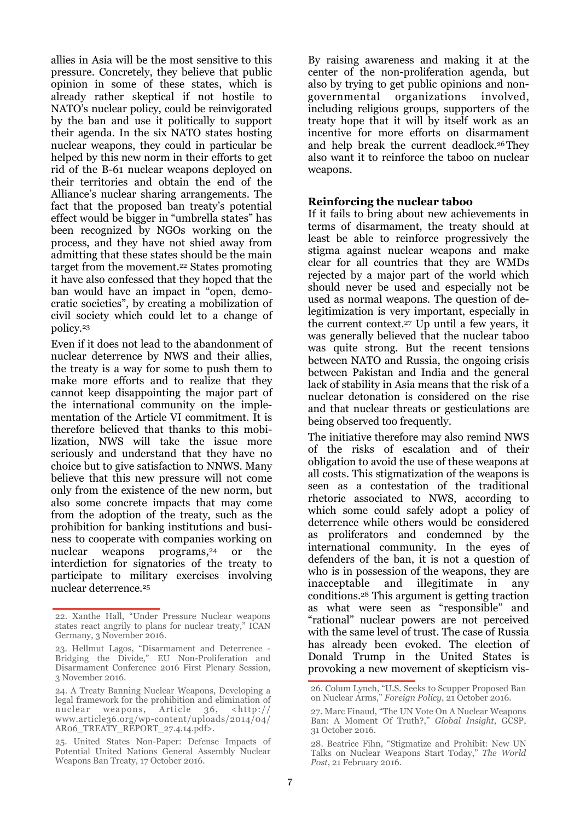allies in Asia will be the most sensitive to this pressure. Concretely, they believe that public opinion in some of these states, which is already rather skeptical if not hostile to NATO's nuclear policy, could be reinvigorated by the ban and use it politically to support their agenda. In the six NATO states hosting nuclear weapons, they could in particular be helped by this new norm in their efforts to get rid of the B-61 nuclear weapons deployed on their territories and obtain the end of the Alliance's nuclear sharing arrangements. The fact that the proposed ban treaty's potential effect would be bigger in "umbrella states" has been recognized by NGOs working on the process, and they have not shied away from admitting that these states should be the main target from the movement.22 States promoting it have also confessed that they hoped that the ban would have an impact in "open, democratic societies", by creating a mobilization of civil society which could let to a change of policy.<sup>23</sup>

Even if it does not lead to the abandonment of nuclear deterrence by NWS and their allies, the treaty is a way for some to push them to make more efforts and to realize that they cannot keep disappointing the major part of the international community on the implementation of the Article VI commitment. It is therefore believed that thanks to this mobilization, NWS will take the issue more seriously and understand that they have no choice but to give satisfaction to NNWS. Many believe that this new pressure will not come only from the existence of the new norm, but also some concrete impacts that may come from the adoption of the treaty, such as the prohibition for banking institutions and business to cooperate with companies working on nuclear weapons programs,<sup>24</sup> or the interdiction for signatories of the treaty to participate to military exercises involving nuclear deterrence.<sup>25</sup>

By raising awareness and making it at the center of the non-proliferation agenda, but also by trying to get public opinions and nongovernmental organizations involved, including religious groups, supporters of the treaty hope that it will by itself work as an incentive for more efforts on disarmament and help break the current deadlock.26 They also want it to reinforce the taboo on nuclear weapons.

#### **Reinforcing the nuclear taboo**

If it fails to bring about new achievements in terms of disarmament, the treaty should at least be able to reinforce progressively the stigma against nuclear weapons and make clear for all countries that they are WMDs rejected by a major part of the world which should never be used and especially not be used as normal weapons. The question of delegitimization is very important, especially in the current context.27 Up until a few years, it was generally believed that the nuclear taboo was quite strong. But the recent tensions between NATO and Russia, the ongoing crisis between Pakistan and India and the general lack of stability in Asia means that the risk of a nuclear detonation is considered on the rise and that nuclear threats or gesticulations are being observed too frequently.

The initiative therefore may also remind NWS of the risks of escalation and of their obligation to avoid the use of these weapons at all costs. This stigmatization of the weapons is seen as a contestation of the traditional rhetoric associated to NWS, according to which some could safely adopt a policy of deterrence while others would be considered as proliferators and condemned by the international community. In the eyes of defenders of the ban, it is not a question of who is in possession of the weapons, they are inacceptable and illegitimate in any conditions.28 This argument is getting traction as what were seen as "responsible" and "rational" nuclear powers are not perceived with the same level of trust. The case of Russia has already been evoked. The election of Donald Trump in the United States is provoking a new movement of skepticism vis-

<sup>22.</sup> Xanthe Hall, "Under Pressure Nuclear weapons states react angrily to plans for nuclear treaty," ICAN Germany, 3 November 2016.

<sup>23.</sup> Hellmut Lagos, "Disarmament and Deterrence - Bridging the Divide," EU Non-Proliferation and Disarmament Conference 2016 First Plenary Session, 3 November 2016.

<sup>24.</sup> A Treaty Banning Nuclear Weapons, Developing a legal framework for the prohibition and elimination of nuclear weapons, Article 36, <http:// www.article36.org/wp-content/uploads/2014/04/ AR06\_TREATY\_REPORT\_27.4.14.pdf>.

<sup>25.</sup> United States Non-Paper: Defense Impacts of Potential United Nations General Assembly Nuclear Weapons Ban Treaty, 17 October 2016.

<sup>26.</sup> Colum Lynch, "U.S. Seeks to Scupper Proposed Ban on Nuclear Arms," *Foreign Policy*, 21 October 2016.

<sup>27.</sup> Marc Finaud, "The UN Vote On A Nuclear Weapons Ban: A Moment Of Truth?," *Global Insight*, GCSP, 31 October 2016.

<sup>28.</sup> Beatrice Fihn, "Stigmatize and Prohibit: New UN Talks on Nuclear Weapons Start Today," *The World Post*, 21 February 2016.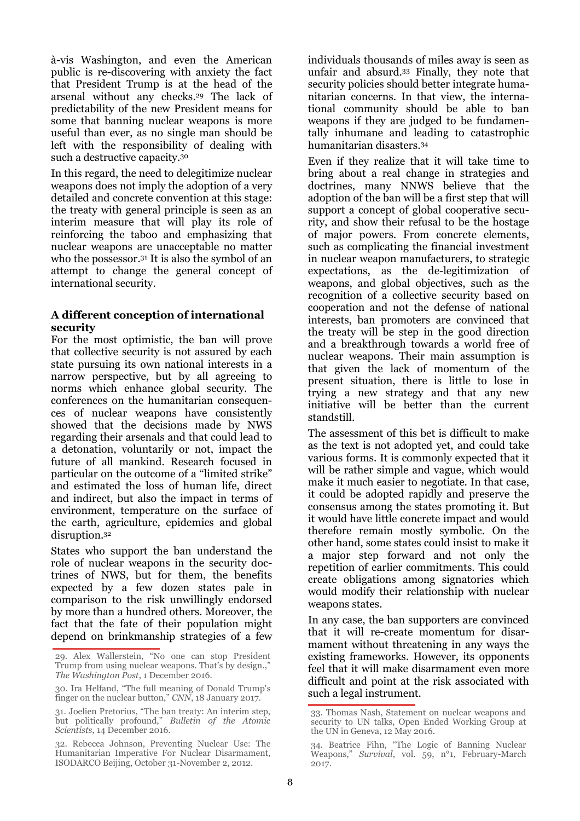à-vis Washington, and even the American public is re-discovering with anxiety the fact that President Trump is at the head of the arsenal without any checks.29 The lack of predictability of the new President means for some that banning nuclear weapons is more useful than ever, as no single man should be left with the responsibility of dealing with such a destructive capacity.<sup>30</sup>

In this regard, the need to delegitimize nuclear weapons does not imply the adoption of a very detailed and concrete convention at this stage: the treaty with general principle is seen as an interim measure that will play its role of reinforcing the taboo and emphasizing that nuclear weapons are unacceptable no matter who the possessor.31 It is also the symbol of an attempt to change the general concept of international security.

#### **A different conception of international security**

For the most optimistic, the ban will prove that collective security is not assured by each state pursuing its own national interests in a narrow perspective, but by all agreeing to norms which enhance global security. The conferences on the humanitarian consequences of nuclear weapons have consistently showed that the decisions made by NWS regarding their arsenals and that could lead to a detonation, voluntarily or not, impact the future of all mankind. Research focused in particular on the outcome of a "limited strike" and estimated the loss of human life, direct and indirect, but also the impact in terms of environment, temperature on the surface of the earth, agriculture, epidemics and global disruption.<sup>32</sup>

States who support the ban understand the role of nuclear weapons in the security doctrines of NWS, but for them, the benefits expected by a few dozen states pale in comparison to the risk unwillingly endorsed by more than a hundred others. Moreover, the fact that the fate of their population might depend on brinkmanship strategies of a few individuals thousands of miles away is seen as unfair and absurd.33 Finally, they note that security policies should better integrate humanitarian concerns. In that view, the international community should be able to ban weapons if they are judged to be fundamentally inhumane and leading to catastrophic humanitarian disasters.<sup>34</sup>

Even if they realize that it will take time to bring about a real change in strategies and doctrines, many NNWS believe that the adoption of the ban will be a first step that will support a concept of global cooperative security, and show their refusal to be the hostage of major powers. From concrete elements, such as complicating the financial investment in nuclear weapon manufacturers, to strategic expectations, as the de-legitimization of weapons, and global objectives, such as the recognition of a collective security based on cooperation and not the defense of national interests, ban promoters are convinced that the treaty will be step in the good direction and a breakthrough towards a world free of nuclear weapons. Their main assumption is that given the lack of momentum of the present situation, there is little to lose in trying a new strategy and that any new initiative will be better than the current standstill.

The assessment of this bet is difficult to make as the text is not adopted yet, and could take various forms. It is commonly expected that it will be rather simple and vague, which would make it much easier to negotiate. In that case, it could be adopted rapidly and preserve the consensus among the states promoting it. But it would have little concrete impact and would therefore remain mostly symbolic. On the other hand, some states could insist to make it a major step forward and not only the repetition of earlier commitments. This could create obligations among signatories which would modify their relationship with nuclear weapons states.

In any case, the ban supporters are convinced that it will re-create momentum for disarmament without threatening in any ways the existing frameworks. However, its opponents feel that it will make disarmament even more difficult and point at the risk associated with such a legal instrument.

<sup>29.</sup> Alex Wallerstein, "No one can stop President Trump from using nuclear weapons. That's by design.," *The Washington Post*, 1 December 2016.

<sup>30.</sup> Ira Helfand, "The full meaning of Donald Trump's finger on the nuclear button," *CNN*, 18 January 2017.

<sup>31.</sup> Joelien Pretorius, "The ban treaty: An interim step, but politically profound," *Bulletin of the Atomic Scientists*, 14 December 2016.

<sup>32.</sup> Rebecca Johnson, Preventing Nuclear Use: The Humanitarian Imperative For Nuclear Disarmament, ISODARCO Beijing, October 31-November 2, 2012.

<sup>33.</sup> Thomas Nash, Statement on nuclear weapons and security to UN talks, Open Ended Working Group at the UN in Geneva, 12 May 2016.

<sup>34.</sup> Beatrice Fihn, "The Logic of Banning Nuclear Weapons," *Survival*, vol. 59, n°1, February-March 2017.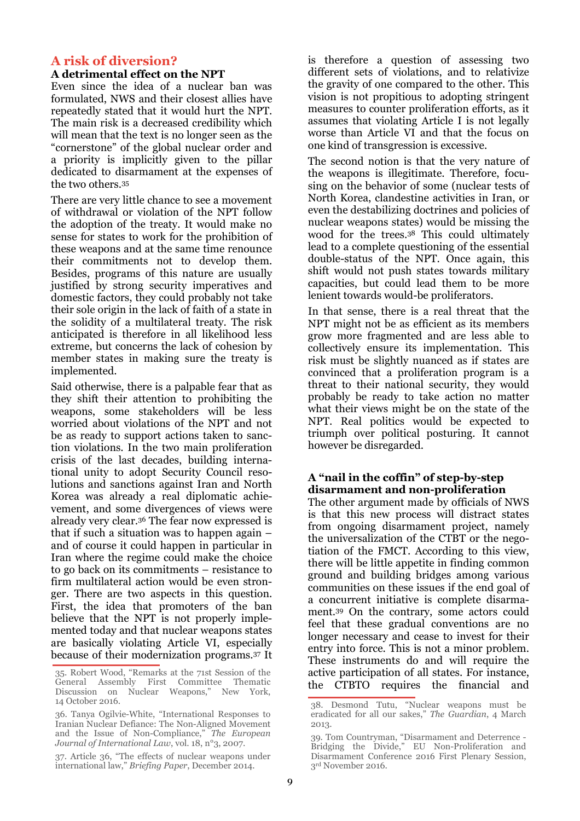# **A risk of diversion?**

#### **A detrimental effect on the NPT**

Even since the idea of a nuclear ban was formulated, NWS and their closest allies have repeatedly stated that it would hurt the NPT. The main risk is a decreased credibility which will mean that the text is no longer seen as the "cornerstone" of the global nuclear order and a priority is implicitly given to the pillar dedicated to disarmament at the expenses of the two others.<sup>35</sup>

There are very little chance to see a movement of withdrawal or violation of the NPT follow the adoption of the treaty. It would make no sense for states to work for the prohibition of these weapons and at the same time renounce their commitments not to develop them. Besides, programs of this nature are usually justified by strong security imperatives and domestic factors, they could probably not take their sole origin in the lack of faith of a state in the solidity of a multilateral treaty. The risk anticipated is therefore in all likelihood less extreme, but concerns the lack of cohesion by member states in making sure the treaty is implemented.

Said otherwise, there is a palpable fear that as they shift their attention to prohibiting the weapons, some stakeholders will be less worried about violations of the NPT and not be as ready to support actions taken to sanction violations. In the two main proliferation crisis of the last decades, building international unity to adopt Security Council resolutions and sanctions against Iran and North Korea was already a real diplomatic achievement, and some divergences of views were already very clear.36 The fear now expressed is that if such a situation was to happen again – and of course it could happen in particular in Iran where the regime could make the choice to go back on its commitments – resistance to firm multilateral action would be even stronger. There are two aspects in this question. First, the idea that promoters of the ban believe that the NPT is not properly implemented today and that nuclear weapons states are basically violating Article VI, especially because of their modernization programs.37 It is therefore a question of assessing two different sets of violations, and to relativize the gravity of one compared to the other. This vision is not propitious to adopting stringent measures to counter proliferation efforts, as it assumes that violating Article I is not legally worse than Article VI and that the focus on one kind of transgression is excessive.

The second notion is that the very nature of the weapons is illegitimate. Therefore, focusing on the behavior of some (nuclear tests of North Korea, clandestine activities in Iran, or even the destabilizing doctrines and policies of nuclear weapons states) would be missing the wood for the trees.38 This could ultimately lead to a complete questioning of the essential double-status of the NPT. Once again, this shift would not push states towards military capacities, but could lead them to be more lenient towards would-be proliferators.

In that sense, there is a real threat that the NPT might not be as efficient as its members grow more fragmented and are less able to collectively ensure its implementation. This risk must be slightly nuanced as if states are convinced that a proliferation program is a threat to their national security, they would probably be ready to take action no matter what their views might be on the state of the NPT. Real politics would be expected to triumph over political posturing. It cannot however be disregarded.

#### **A "nail in the coffin" of step-by-step disarmament and non-proliferation**

The other argument made by officials of NWS is that this new process will distract states from ongoing disarmament project, namely the universalization of the CTBT or the negotiation of the FMCT. According to this view, there will be little appetite in finding common ground and building bridges among various communities on these issues if the end goal of a concurrent initiative is complete disarmament.39 On the contrary, some actors could feel that these gradual conventions are no longer necessary and cease to invest for their entry into force. This is not a minor problem. These instruments do and will require the active participation of all states. For instance, the CTBTO requires the financial and

<sup>35.</sup> Robert Wood, "Remarks at the 71st Session of the General Assembly First Committee Thematic Discussion on Nuclear Weapons," New York, 14 October 2016.

<sup>36.</sup> Tanya Ogilvie-White, "International Responses to Iranian Nuclear Defiance: The Non-Aligned Movement and the Issue of Non-Compliance," *The European Journal of International Law*, vol. 18, n°3, 2007.

<sup>37.</sup> Article 36, "The effects of nuclear weapons under international law," *Briefing Paper*, December 2014.

<sup>38.</sup> Desmond Tutu, "Nuclear weapons must be eradicated for all our sakes," *The Guardian*, 4 March 2013.

<sup>39.</sup> Tom Countryman, "Disarmament and Deterrence - Bridging the Divide," EU Non-Proliferation and Disarmament Conference 2016 First Plenary Session, 3rd November 2016.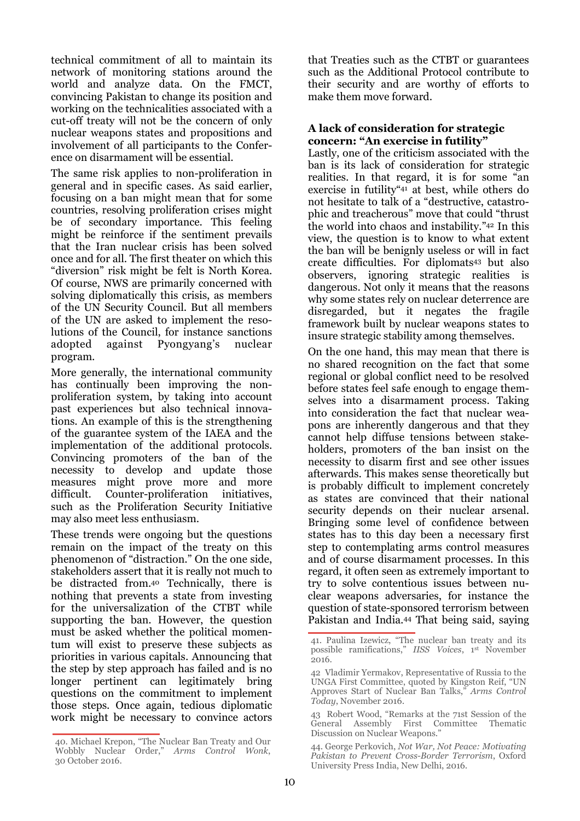technical commitment of all to maintain its network of monitoring stations around the world and analyze data. On the FMCT, convincing Pakistan to change its position and working on the technicalities associated with a cut-off treaty will not be the concern of only nuclear weapons states and propositions and involvement of all participants to the Conference on disarmament will be essential.

The same risk applies to non-proliferation in general and in specific cases. As said earlier, focusing on a ban might mean that for some countries, resolving proliferation crises might be of secondary importance. This feeling might be reinforce if the sentiment prevails that the Iran nuclear crisis has been solved once and for all. The first theater on which this "diversion" risk might be felt is North Korea. Of course, NWS are primarily concerned with solving diplomatically this crisis, as members of the UN Security Council. But all members of the UN are asked to implement the resolutions of the Council, for instance sanctions adopted against Pyongyang's nuclear program.

More generally, the international community has continually been improving the nonproliferation system, by taking into account past experiences but also technical innovations. An example of this is the strengthening of the guarantee system of the IAEA and the implementation of the additional protocols. Convincing promoters of the ban of the necessity to develop and update those measures might prove more and more difficult. Counter-proliferation initiatives, such as the Proliferation Security Initiative may also meet less enthusiasm.

These trends were ongoing but the questions remain on the impact of the treaty on this phenomenon of "distraction." On the one side, stakeholders assert that it is really not much to be distracted from.40 Technically, there is nothing that prevents a state from investing for the universalization of the CTBT while supporting the ban. However, the question must be asked whether the political momentum will exist to preserve these subjects as priorities in various capitals. Announcing that the step by step approach has failed and is no longer pertinent can legitimately bring questions on the commitment to implement those steps. Once again, tedious diplomatic work might be necessary to convince actors

40. Michael Krepon, "The Nuclear Ban Treaty and Our Wobbly Nuclear Order," *Arms Control Wonk*, 30 October 2016.

that Treaties such as the CTBT or guarantees such as the Additional Protocol contribute to their security and are worthy of efforts to make them move forward.

#### **A lack of consideration for strategic concern: "An exercise in futility"**

Lastly, one of the criticism associated with the ban is its lack of consideration for strategic realities. In that regard, it is for some "an exercise in futility"41 at best, while others do not hesitate to talk of a "destructive, catastrophic and treacherous" move that could "thrust the world into chaos and instability."42 In this view, the question is to know to what extent the ban will be benignly useless or will in fact create difficulties. For diplomats43 but also observers, ignoring strategic realities is dangerous. Not only it means that the reasons why some states rely on nuclear deterrence are disregarded, but it negates the fragile framework built by nuclear weapons states to insure strategic stability among themselves.

On the one hand, this may mean that there is no shared recognition on the fact that some regional or global conflict need to be resolved before states feel safe enough to engage themselves into a disarmament process. Taking into consideration the fact that nuclear weapons are inherently dangerous and that they cannot help diffuse tensions between stakeholders, promoters of the ban insist on the necessity to disarm first and see other issues afterwards. This makes sense theoretically but is probably difficult to implement concretely as states are convinced that their national security depends on their nuclear arsenal. Bringing some level of confidence between states has to this day been a necessary first step to contemplating arms control measures and of course disarmament processes. In this regard, it often seen as extremely important to try to solve contentious issues between nuclear weapons adversaries, for instance the question of state-sponsored terrorism between Pakistan and India.44 That being said, saying

<sup>41.</sup> Paulina Izewicz, "The nuclear ban treaty and its possible ramifications," *IISS Voices*, 1st November 2016.

<sup>42</sup> Vladimir Yermakov, Representative of Russia to the UNGA First Committee, quoted by Kingston Reif, "UN Approves Start of Nuclear Ban Talks," *Arms Control Today*, November 2016.

<sup>43</sup> Robert Wood, "Remarks at the 71st Session of the General Assembly First Committee Thematic Discussion on Nuclear Weapons."

<sup>44.</sup> George Perkovich, *Not War, Not Peace: Motivating Pakistan to Prevent Cross-Border Terrorism*, Oxford University Press India, New Delhi, 2016.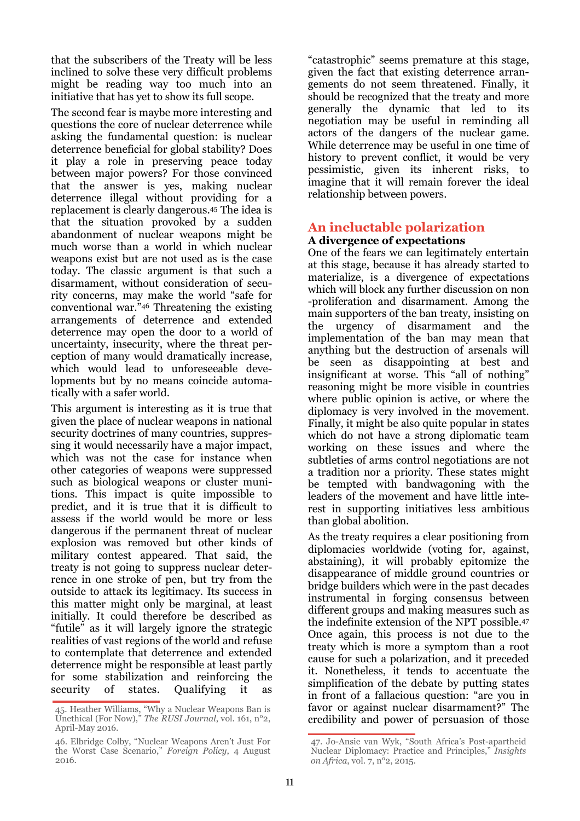that the subscribers of the Treaty will be less inclined to solve these very difficult problems might be reading way too much into an initiative that has yet to show its full scope.

The second fear is maybe more interesting and questions the core of nuclear deterrence while asking the fundamental question: is nuclear deterrence beneficial for global stability? Does it play a role in preserving peace today between major powers? For those convinced that the answer is yes, making nuclear deterrence illegal without providing for a replacement is clearly dangerous.45 The idea is that the situation provoked by a sudden abandonment of nuclear weapons might be much worse than a world in which nuclear weapons exist but are not used as is the case today. The classic argument is that such a disarmament, without consideration of security concerns, may make the world "safe for conventional war."46 Threatening the existing arrangements of deterrence and extended deterrence may open the door to a world of uncertainty, insecurity, where the threat perception of many would dramatically increase, which would lead to unforeseeable developments but by no means coincide automatically with a safer world.

This argument is interesting as it is true that given the place of nuclear weapons in national security doctrines of many countries, suppressing it would necessarily have a major impact, which was not the case for instance when other categories of weapons were suppressed such as biological weapons or cluster munitions. This impact is quite impossible to predict, and it is true that it is difficult to assess if the world would be more or less dangerous if the permanent threat of nuclear explosion was removed but other kinds of military contest appeared. That said, the treaty is not going to suppress nuclear deterrence in one stroke of pen, but try from the outside to attack its legitimacy. Its success in this matter might only be marginal, at least initially. It could therefore be described as "futile" as it will largely ignore the strategic realities of vast regions of the world and refuse to contemplate that deterrence and extended deterrence might be responsible at least partly for some stabilization and reinforcing the security of states. Qualifying it

"catastrophic" seems premature at this stage, given the fact that existing deterrence arrangements do not seem threatened. Finally, it should be recognized that the treaty and more generally the dynamic that led to its negotiation may be useful in reminding all actors of the dangers of the nuclear game. While deterrence may be useful in one time of history to prevent conflict, it would be very pessimistic, given its inherent risks, to imagine that it will remain forever the ideal relationship between powers.

### **An ineluctable polarization A divergence of expectations**

One of the fears we can legitimately entertain at this stage, because it has already started to materialize, is a divergence of expectations which will block any further discussion on non -proliferation and disarmament. Among the main supporters of the ban treaty, insisting on the urgency of disarmament and the implementation of the ban may mean that anything but the destruction of arsenals will be seen as disappointing at best and insignificant at worse. This "all of nothing" reasoning might be more visible in countries where public opinion is active, or where the diplomacy is very involved in the movement. Finally, it might be also quite popular in states which do not have a strong diplomatic team working on these issues and where the subtleties of arms control negotiations are not a tradition nor a priority. These states might be tempted with bandwagoning with the leaders of the movement and have little interest in supporting initiatives less ambitious than global abolition.

As the treaty requires a clear positioning from diplomacies worldwide (voting for, against, abstaining), it will probably epitomize the disappearance of middle ground countries or bridge builders which were in the past decades instrumental in forging consensus between different groups and making measures such as the indefinite extension of the NPT possible.<sup>47</sup> Once again, this process is not due to the treaty which is more a symptom than a root cause for such a polarization, and it preceded it. Nonetheless, it tends to accentuate the simplification of the debate by putting states in front of a fallacious question: "are you in favor or against nuclear disarmament?" The credibility and power of persuasion of those

<sup>45.</sup> Heather Williams, "Why a Nuclear Weapons Ban is Unethical (For Now)," *The RUSI Journal*, vol. 161, n°2, April-May 2016.

<sup>46.</sup> Elbridge Colby, "Nuclear Weapons Aren't Just For the Worst Case Scenario," *Foreign Policy*, 4 August 2016.

<sup>47.</sup> Jo-Ansie van Wyk, "South Africa's Post-apartheid Nuclear Diplomacy: Practice and Principles," *Insights on Africa*, vol. 7, n°2, 2015.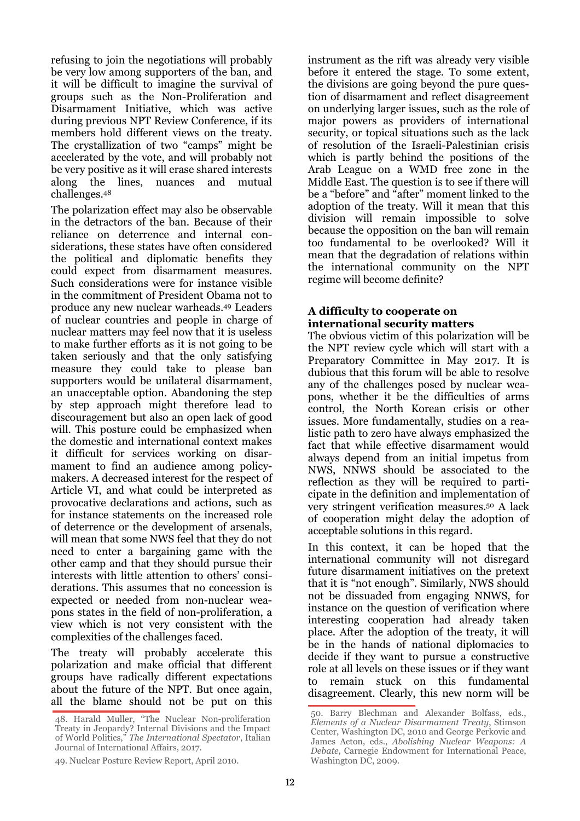refusing to join the negotiations will probably be very low among supporters of the ban, and it will be difficult to imagine the survival of groups such as the Non-Proliferation and Disarmament Initiative, which was active during previous NPT Review Conference, if its members hold different views on the treaty. The crystallization of two "camps" might be accelerated by the vote, and will probably not be very positive as it will erase shared interests along the lines, nuances and mutual challenges.<sup>48</sup>

The polarization effect may also be observable in the detractors of the ban. Because of their reliance on deterrence and internal considerations, these states have often considered the political and diplomatic benefits they could expect from disarmament measures. Such considerations were for instance visible in the commitment of President Obama not to produce any new nuclear warheads.49 Leaders of nuclear countries and people in charge of nuclear matters may feel now that it is useless to make further efforts as it is not going to be taken seriously and that the only satisfying measure they could take to please ban supporters would be unilateral disarmament, an unacceptable option. Abandoning the step by step approach might therefore lead to discouragement but also an open lack of good will. This posture could be emphasized when the domestic and international context makes it difficult for services working on disarmament to find an audience among policymakers. A decreased interest for the respect of Article VI, and what could be interpreted as provocative declarations and actions, such as for instance statements on the increased role of deterrence or the development of arsenals, will mean that some NWS feel that they do not need to enter a bargaining game with the other camp and that they should pursue their interests with little attention to others' considerations. This assumes that no concession is expected or needed from non-nuclear weapons states in the field of non-proliferation, a view which is not very consistent with the complexities of the challenges faced.

The treaty will probably accelerate this polarization and make official that different groups have radically different expectations about the future of the NPT. But once again, all the blame should not be put on this

49. Nuclear Posture Review Report, April 2010.

instrument as the rift was already very visible before it entered the stage. To some extent, the divisions are going beyond the pure question of disarmament and reflect disagreement on underlying larger issues, such as the role of major powers as providers of international security, or topical situations such as the lack of resolution of the Israeli-Palestinian crisis which is partly behind the positions of the Arab League on a WMD free zone in the Middle East. The question is to see if there will be a "before" and "after" moment linked to the adoption of the treaty. Will it mean that this division will remain impossible to solve because the opposition on the ban will remain too fundamental to be overlooked? Will it mean that the degradation of relations within the international community on the NPT regime will become definite?

#### **A difficulty to cooperate on international security matters**

The obvious victim of this polarization will be the NPT review cycle which will start with a Preparatory Committee in May 2017. It is dubious that this forum will be able to resolve any of the challenges posed by nuclear weapons, whether it be the difficulties of arms control, the North Korean crisis or other issues. More fundamentally, studies on a realistic path to zero have always emphasized the fact that while effective disarmament would always depend from an initial impetus from NWS, NNWS should be associated to the reflection as they will be required to participate in the definition and implementation of very stringent verification measures.50 A lack of cooperation might delay the adoption of acceptable solutions in this regard.

In this context, it can be hoped that the international community will not disregard future disarmament initiatives on the pretext that it is "not enough". Similarly, NWS should not be dissuaded from engaging NNWS, for instance on the question of verification where interesting cooperation had already taken place. After the adoption of the treaty, it will be in the hands of national diplomacies to decide if they want to pursue a constructive role at all levels on these issues or if they want to remain stuck on this fundamental disagreement. Clearly, this new norm will be

<sup>48.</sup> Harald Muller, "The Nuclear Non-proliferation Treaty in Jeopardy? Internal Divisions and the Impact of World Politics," *The International Spectator*, Italian Journal of International Affairs, 2017.

<sup>50.</sup> Barry Blechman and Alexander Bolfass, eds., *Elements of a Nuclear Disarmament Treaty*, Stimson Center, Washington DC, 2010 and George Perkovic and James Acton, eds., *Abolishing Nuclear Weapons: A Debate*, Carnegie Endowment for International Peace, Washington DC, 2009.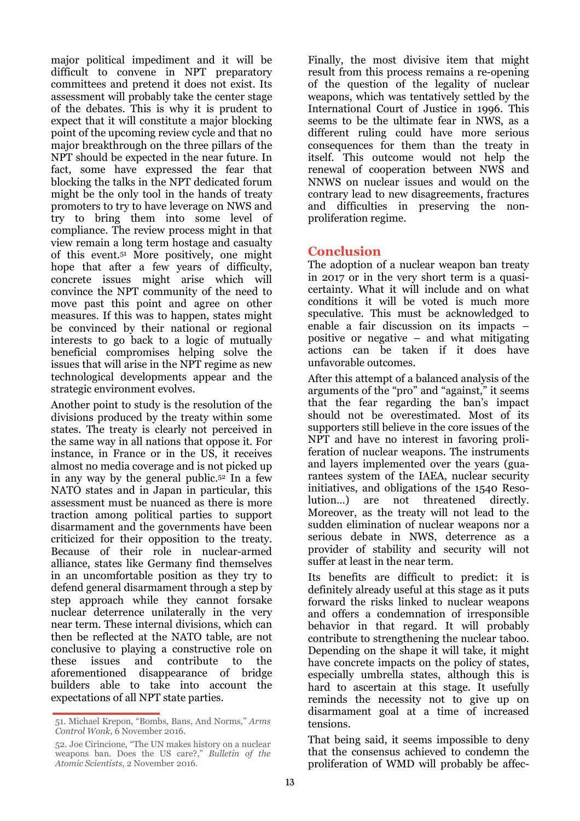major political impediment and it will be difficult to convene in NPT preparatory committees and pretend it does not exist. Its assessment will probably take the center stage of the debates. This is why it is prudent to expect that it will constitute a major blocking point of the upcoming review cycle and that no major breakthrough on the three pillars of the NPT should be expected in the near future. In fact, some have expressed the fear that blocking the talks in the NPT dedicated forum might be the only tool in the hands of treaty promoters to try to have leverage on NWS and try to bring them into some level of compliance. The review process might in that view remain a long term hostage and casualty of this event.51 More positively, one might hope that after a few years of difficulty, concrete issues might arise which will convince the NPT community of the need to move past this point and agree on other measures. If this was to happen, states might be convinced by their national or regional interests to go back to a logic of mutually beneficial compromises helping solve the issues that will arise in the NPT regime as new technological developments appear and the strategic environment evolves.

Another point to study is the resolution of the divisions produced by the treaty within some states. The treaty is clearly not perceived in the same way in all nations that oppose it. For instance, in France or in the US, it receives almost no media coverage and is not picked up in any way by the general public.52 In a few NATO states and in Japan in particular, this assessment must be nuanced as there is more traction among political parties to support disarmament and the governments have been criticized for their opposition to the treaty. Because of their role in nuclear-armed alliance, states like Germany find themselves in an uncomfortable position as they try to defend general disarmament through a step by step approach while they cannot forsake nuclear deterrence unilaterally in the very near term. These internal divisions, which can then be reflected at the NATO table, are not conclusive to playing a constructive role on these issues and contribute to the aforementioned disappearance of bridge builders able to take into account the expectations of all NPT state parties.

51. Michael Krepon, "Bombs, Bans, And Norms," *Arms Control Wonk*, 6 November 2016.

Finally, the most divisive item that might result from this process remains a re-opening of the question of the legality of nuclear weapons, which was tentatively settled by the International Court of Justice in 1996. This seems to be the ultimate fear in NWS, as a different ruling could have more serious consequences for them than the treaty in itself. This outcome would not help the renewal of cooperation between NWS and NNWS on nuclear issues and would on the contrary lead to new disagreements, fractures and difficulties in preserving the nonproliferation regime.

# **Conclusion**

The adoption of a nuclear weapon ban treaty in 2017 or in the very short term is a quasicertainty. What it will include and on what conditions it will be voted is much more speculative. This must be acknowledged to enable a fair discussion on its impacts – positive or negative – and what mitigating actions can be taken if it does have unfavorable outcomes.

After this attempt of a balanced analysis of the arguments of the "pro" and "against," it seems that the fear regarding the ban's impact should not be overestimated. Most of its supporters still believe in the core issues of the NPT and have no interest in favoring proliferation of nuclear weapons. The instruments and layers implemented over the years (guarantees system of the IAEA, nuclear security initiatives, and obligations of the 1540 Resolution…) are not threatened directly. Moreover, as the treaty will not lead to the sudden elimination of nuclear weapons nor a serious debate in NWS, deterrence as a provider of stability and security will not suffer at least in the near term.

Its benefits are difficult to predict: it is definitely already useful at this stage as it puts forward the risks linked to nuclear weapons and offers a condemnation of irresponsible behavior in that regard. It will probably contribute to strengthening the nuclear taboo. Depending on the shape it will take, it might have concrete impacts on the policy of states, especially umbrella states, although this is hard to ascertain at this stage. It usefully reminds the necessity not to give up on disarmament goal at a time of increased tensions.

That being said, it seems impossible to deny that the consensus achieved to condemn the proliferation of WMD will probably be affec-

<sup>52.</sup> Joe Cirincione, "The UN makes history on a nuclear weapons ban. Does the US care?," *Bulletin of the Atomic Scientists*, 2 November 2016.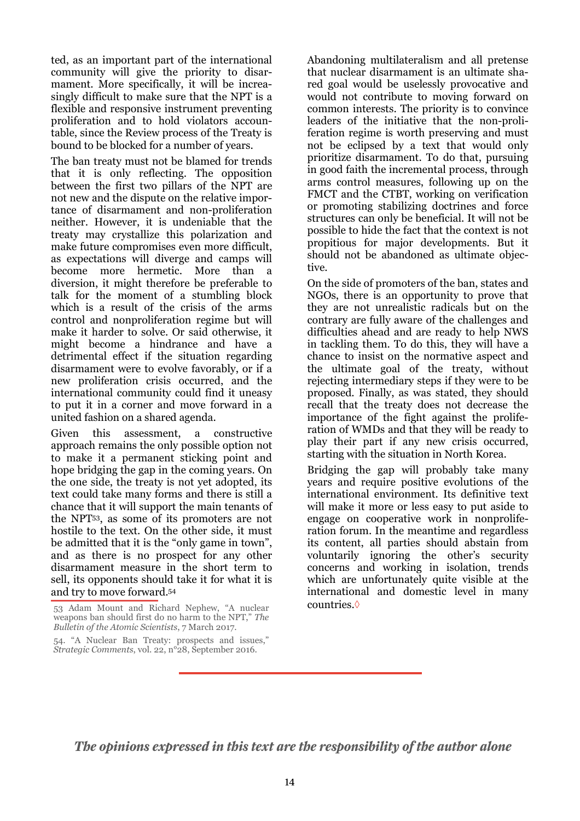ted, as an important part of the international community will give the priority to disarmament. More specifically, it will be increasingly difficult to make sure that the NPT is a flexible and responsive instrument preventing proliferation and to hold violators accountable, since the Review process of the Treaty is bound to be blocked for a number of years.

The ban treaty must not be blamed for trends that it is only reflecting. The opposition between the first two pillars of the NPT are not new and the dispute on the relative importance of disarmament and non-proliferation neither. However, it is undeniable that the treaty may crystallize this polarization and make future compromises even more difficult, as expectations will diverge and camps will become more hermetic. More than a diversion, it might therefore be preferable to talk for the moment of a stumbling block which is a result of the crisis of the arms control and nonproliferation regime but will make it harder to solve. Or said otherwise, it might become a hindrance and have a detrimental effect if the situation regarding disarmament were to evolve favorably, or if a new proliferation crisis occurred, and the international community could find it uneasy to put it in a corner and move forward in a united fashion on a shared agenda.

Given this assessment, a constructive approach remains the only possible option not to make it a permanent sticking point and hope bridging the gap in the coming years. On the one side, the treaty is not yet adopted, its text could take many forms and there is still a chance that it will support the main tenants of the NPT53, as some of its promoters are not hostile to the text. On the other side, it must be admitted that it is the "only game in town", and as there is no prospect for any other disarmament measure in the short term to sell, its opponents should take it for what it is and try to move forward.<sup>54</sup>

Abandoning multilateralism and all pretense that nuclear disarmament is an ultimate shared goal would be uselessly provocative and would not contribute to moving forward on common interests. The priority is to convince leaders of the initiative that the non-proliferation regime is worth preserving and must not be eclipsed by a text that would only prioritize disarmament. To do that, pursuing in good faith the incremental process, through arms control measures, following up on the FMCT and the CTBT, working on verification or promoting stabilizing doctrines and force structures can only be beneficial. It will not be possible to hide the fact that the context is not propitious for major developments. But it should not be abandoned as ultimate objective.

On the side of promoters of the ban, states and NGOs, there is an opportunity to prove that they are not unrealistic radicals but on the contrary are fully aware of the challenges and difficulties ahead and are ready to help NWS in tackling them. To do this, they will have a chance to insist on the normative aspect and the ultimate goal of the treaty, without rejecting intermediary steps if they were to be proposed. Finally, as was stated, they should recall that the treaty does not decrease the importance of the fight against the proliferation of WMDs and that they will be ready to play their part if any new crisis occurred, starting with the situation in North Korea.

Bridging the gap will probably take many years and require positive evolutions of the international environment. Its definitive text will make it more or less easy to put aside to engage on cooperative work in nonproliferation forum. In the meantime and regardless its content, all parties should abstain from voluntarily ignoring the other's security concerns and working in isolation, trends which are unfortunately quite visible at the international and domestic level in many countries.◊

*The opinions expressed in this text are the responsibility of the author alone*

<sup>53</sup> Adam Mount and Richard Nephew, "A nuclear weapons ban should first do no harm to the NPT," *The Bulletin of the Atomic Scientists*, 7 March 2017.

<sup>54. &</sup>quot;A Nuclear Ban Treaty: prospects and issues," *Strategic Comments*, vol. 22, n°28, September 2016.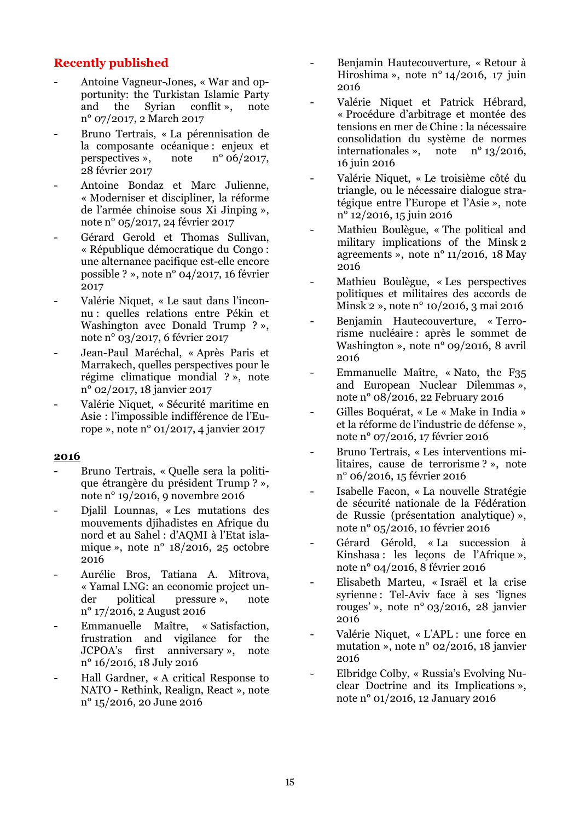# **Recently published**

- Antoine Vagneur-Jones, « War and opportunity: the Turkistan Islamic Party and the Syrian conflit », note n° 07/2017, 2 March 2017
- Bruno Tertrais, « La pérennisation de la composante océanique : enjeux et perspectives », note n° 06/2017, 28 février 2017
- Antoine Bondaz et Marc Julienne, « Moderniser et discipliner, la réforme de l'armée chinoise sous Xi Jinping », note n° 05/2017, 24 février 2017
- Gérard Gerold et Thomas Sullivan, « République démocratique du Congo : une alternance pacifique est-elle encore possible ? », note n° 04/2017, 16 février 2017
- Valérie Niquet, « Le saut dans l'inconnu : quelles relations entre Pékin et Washington avec Donald Trump ? », note n° 03/2017, 6 février 2017
- Jean-Paul Maréchal, « Après Paris et Marrakech, quelles perspectives pour le régime climatique mondial ? », note n° 02/2017, 18 janvier 2017
- Valérie Niquet, « Sécurité maritime en Asie : l'impossible indifférence de l'Europe », note n° 01/2017, 4 janvier 2017

#### **2016**

- Bruno Tertrais, « Quelle sera la politique étrangère du président Trump ? », note n° 19/2016, 9 novembre 2016
- Djalil Lounnas, « Les mutations des mouvements djihadistes en Afrique du nord et au Sahel : d'AQMI à l'Etat islamique », note nº  $18/2016$ , 25 octobre 2016
- Aurélie Bros, Tatiana A. Mitrova, « Yamal LNG: an economic project under political pressure », note n° 17/2016, 2 August 2016
- Emmanuelle Maître, « Satisfaction, frustration and vigilance for the JCPOA's first anniversary », note n° 16/2016, 18 July 2016
- Hall Gardner, « A critical Response to NATO - Rethink, Realign, React », note n° 15/2016, 20 June 2016
- Benjamin Hautecouverture, « Retour à Hiroshima », note n° 14/2016, 17 juin 2016
- Valérie Niquet et Patrick Hébrard, « Procédure d'arbitrage et montée des tensions en mer de Chine : la nécessaire consolidation du système de normes internationales », note n° 13/2016, 16 juin 2016
- Valérie Niquet, « Le troisième côté du triangle, ou le nécessaire dialogue stratégique entre l'Europe et l'Asie », note n° 12/2016, 15 juin 2016
- Mathieu Boulègue, « The political and military implications of the Minsk 2 agreements », note n° 11/2016, 18 May 2016
- Mathieu Boulègue, « Les perspectives politiques et militaires des accords de Minsk 2 », note n° 10/2016, 3 mai 2016
- Benjamin Hautecouverture, « Terrorisme nucléaire : après le sommet de Washington », note n° 09/2016, 8 avril 2016
- Emmanuelle Maître, « Nato, the F35 and European Nuclear Dilemmas », note n° 08/2016, 22 February 2016
- Gilles Boquérat, « Le « Make in India » et la réforme de l'industrie de défense », note n° 07/2016, 17 février 2016
- Bruno Tertrais, « Les interventions militaires, cause de terrorisme ? », note n° 06/2016, 15 février 2016
- Isabelle Facon, « La nouvelle Stratégie de sécurité nationale de la Fédération de Russie (présentation analytique) », note n° 05/2016, 10 février 2016
- Gérard Gérold, « La succession à Kinshasa : les lecons de l'Afrique ». note n° 04/2016, 8 février 2016
- Elisabeth Marteu, « Israël et la crise syrienne : Tel-Aviv face à ses 'lignes rouges' », note n° 03/2016, 28 janvier 2016
- Valérie Niquet, « L'APL : une force en mutation », note n° 02/2016, 18 janvier 2016
- Elbridge Colby, « Russia's Evolving Nuclear Doctrine and its Implications », note n° 01/2016, 12 January 2016